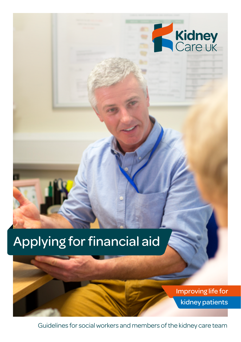

# Applying for financial aid



Guidelines for social workers and members of the kidney care team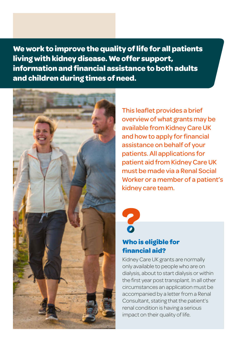**We work to improve the quality of life for all patients living with kidney disease. We offer support, information and financial assistance to both adults and children during times of need.**



This leaflet provides a brief overview of what grants may be available from Kidney Care UK and how to apply for financial assistance on behalf of your patients. All applications for patient aid from Kidney Care UK must be made via a Renal Social Worker or a member of a patient's kidney care team.



# **Who is eligible for financial aid?**

Kidney Care UK grants are normally only available to people who are on dialysis, about to start dialysis or within the first year post transplant. In all other circumstances an application must be accompanied by a letter from a Renal Consultant, stating that the patient's renal condition is having a serious impact on their quality of life.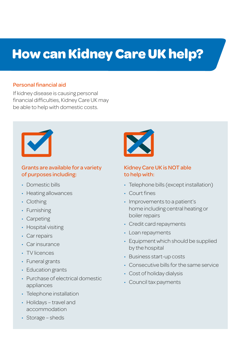# **How can Kidney Care UK help?**

#### Personal financial aid

If kidney disease is causing personal financial difficulties, Kidney Care UK may be able to help with domestic costs.



#### Grants are available for a variety of purposes including:

- Domestic bills
- Heating allowances
- Clothing
- Furnishing
- Carpeting
- Hospital visiting
- Car repairs
- Car insurance
- TV licences
- Funeral grants
- Education grants
- Purchase of electrical domestic appliances
- Telephone installation
- Holidays travel and accommodation



### Kidney Care UK is NOT able to help with:

- Telephone bills (except installation)
- Court fines
- Improvements to a patient's home including central heating or boiler repairs
- Credit card repayments
- Loan repayments
- Equipment which should be supplied by the hospital
- Business start-up costs
- Consecutive bills for the same service
- Cost of holiday dialysis
- Council tax payments

• Storage – sheds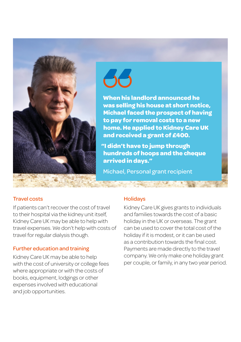



**When his landlord announced he was selling his house at short notice, Michael faced the prospect of having to pay for removal costs to a new home. He applied to Kidney Care UK and received a grant of £400.**

**"I didn't have to jump through hundreds of hoops and the cheque arrived in days."**

Michael, Personal grant recipient

#### Travel costs

If patients can't recover the cost of travel to their hospital via the kidney unit itself, Kidney Care UK may be able to help with travel expenses. We don't help with costs of travel for regular dialysis though.

### Further education and training

Kidney Care UK may be able to help with the cost of university or college fees where appropriate or with the costs of books, equipment, lodgings or other expenses involved with educational and job opportunities.

#### **Holidavs**

Kidney Care UK gives grants to individuals and families towards the cost of a basic holiday in the UK or overseas. The grant can be used to cover the total cost of the holiday if it is modest, or it can be used as a contribution towards the final cost. Payments are made directly to the travel company. We only make one holiday grant per couple, or family, in any two year period.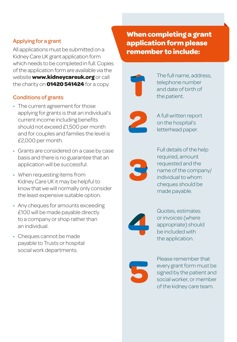# Applying for a grant

All applications must be submitted on a Kidney Care UK grant application form which needs to be completed in full. Copies of the application form are available via the website **www.kidneycareuk.org** or call the charity on **01420 541424** for a copy.

# Conditions of grants

- The current agreement for those applying for grants is that an individual's current income including benefits should not exceed £1,500 per month and for couples and families the level is £2,000 per month.
- Grants are considered on a case by case basis and there is no guarantee that an application will be successful.
- When requesting items from Kidney Care UK it may be helpful to know that we will normally only consider the least expensive suitable option.
- Any cheques for amounts exceeding £100 will be made payable directly to a company or shop rather than an individual.
- Cheques cannot be made payable to Trusts or hospital social work departments.

**When completing a grant application form please remember to include:**



The full name, address, telephone number and date of birth of the patient.



A full written report on the hospital's letterhead paper.



Full details of the help required, amount requested and the name of the company/ individual to whom cheques should be made payable.



Quotes, estimates or invoices (where appropriate) should be included with the application.



Please remember that every grant form must be signed by the patient and social worker, or member of the kidney care team.